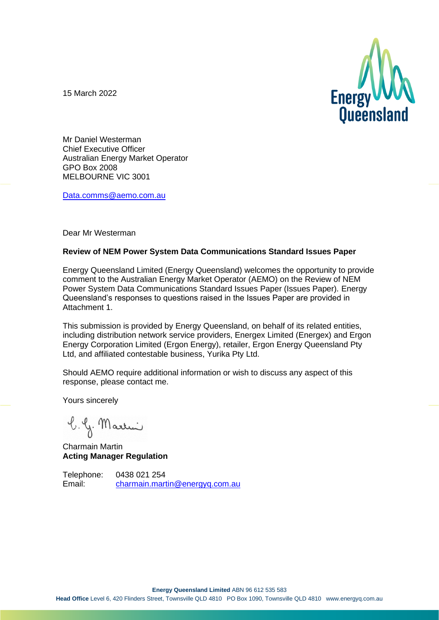15 March 2022



Mr Daniel Westerman Chief Executive Officer Australian Energy Market Operator GPO Box 2008 MELBOURNE VIC 3001

[Data.comms@aemo.com.au](mailto:Data.comms@aemo.com.au)

Dear Mr Westerman

## **Review of NEM Power System Data Communications Standard Issues Paper**

Energy Queensland Limited (Energy Queensland) welcomes the opportunity to provide comment to the Australian Energy Market Operator (AEMO) on the Review of NEM Power System Data Communications Standard Issues Paper (Issues Paper)*.* Energy Queensland's responses to questions raised in the Issues Paper are provided in Attachment 1.

This submission is provided by Energy Queensland, on behalf of its related entities, including distribution network service providers, Energex Limited (Energex) and Ergon Energy Corporation Limited (Ergon Energy), retailer, Ergon Energy Queensland Pty Ltd, and affiliated contestable business, Yurika Pty Ltd.

Should AEMO require additional information or wish to discuss any aspect of this response, please contact me.

Yours sincerely

b. G. Martin

Charmain Martin **Acting Manager Regulation**

Telephone: 0438 021 254 Email: [charmain.martin@energyq.com.au](mailto:charmain.martin@energyq.com.au)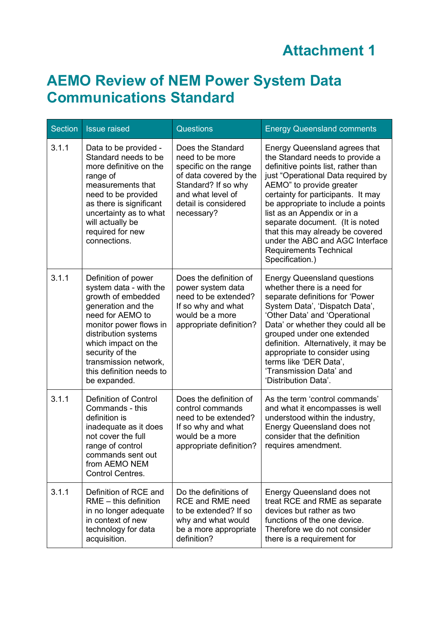## **AEMO Review of NEM Power System Data Communications Standard**

| <b>Section</b> | <b>Issue raised</b>                                                                                                                                                                                                                                                            | <b>Questions</b>                                                                                                                                                          | <b>Energy Queensland comments</b>                                                                                                                                                                                                                                                                                                                                                                                                                  |
|----------------|--------------------------------------------------------------------------------------------------------------------------------------------------------------------------------------------------------------------------------------------------------------------------------|---------------------------------------------------------------------------------------------------------------------------------------------------------------------------|----------------------------------------------------------------------------------------------------------------------------------------------------------------------------------------------------------------------------------------------------------------------------------------------------------------------------------------------------------------------------------------------------------------------------------------------------|
| 3.1.1          | Data to be provided -<br>Standard needs to be<br>more definitive on the<br>range of<br>measurements that<br>need to be provided<br>as there is significant<br>uncertainty as to what<br>will actually be<br>required for new<br>connections.                                   | Does the Standard<br>need to be more<br>specific on the range<br>of data covered by the<br>Standard? If so why<br>and what level of<br>detail is considered<br>necessary? | Energy Queensland agrees that<br>the Standard needs to provide a<br>definitive points list, rather than<br>just "Operational Data required by<br>AEMO" to provide greater<br>certainty for participants. It may<br>be appropriate to include a points<br>list as an Appendix or in a<br>separate document. (It is noted<br>that this may already be covered<br>under the ABC and AGC Interface<br><b>Requirements Technical</b><br>Specification.) |
| 3.1.1          | Definition of power<br>system data - with the<br>growth of embedded<br>generation and the<br>need for AEMO to<br>monitor power flows in<br>distribution systems<br>which impact on the<br>security of the<br>transmission network,<br>this definition needs to<br>be expanded. | Does the definition of<br>power system data<br>need to be extended?<br>If so why and what<br>would be a more<br>appropriate definition?                                   | <b>Energy Queensland questions</b><br>whether there is a need for<br>separate definitions for 'Power<br>System Data', 'Dispatch Data',<br>'Other Data' and 'Operational<br>Data' or whether they could all be<br>grouped under one extended<br>definition. Alternatively, it may be<br>appropriate to consider using<br>terms like 'DER Data',<br>'Transmission Data' and<br>'Distribution Data'.                                                  |
| 3.1.1          | <b>Definition of Control</b><br>Commands - this<br>definition is<br>inadequate as it does<br>not cover the full<br>range of control<br>commands sent out<br>from AEMO NEM<br><b>Control Centres.</b>                                                                           | Does the definition of<br>control commands<br>need to be extended?<br>If so why and what<br>would be a more<br>appropriate definition?                                    | As the term 'control commands'<br>and what it encompasses is well<br>understood within the industry,<br><b>Energy Queensland does not</b><br>consider that the definition<br>requires amendment.                                                                                                                                                                                                                                                   |
| 3.1.1          | Definition of RCE and<br>$RME - this definition$<br>in no longer adequate<br>in context of new<br>technology for data<br>acquisition.                                                                                                                                          | Do the definitions of<br><b>RCE and RME need</b><br>to be extended? If so<br>why and what would<br>be a more appropriate<br>definition?                                   | <b>Energy Queensland does not</b><br>treat RCE and RME as separate<br>devices but rather as two<br>functions of the one device.<br>Therefore we do not consider<br>there is a requirement for                                                                                                                                                                                                                                                      |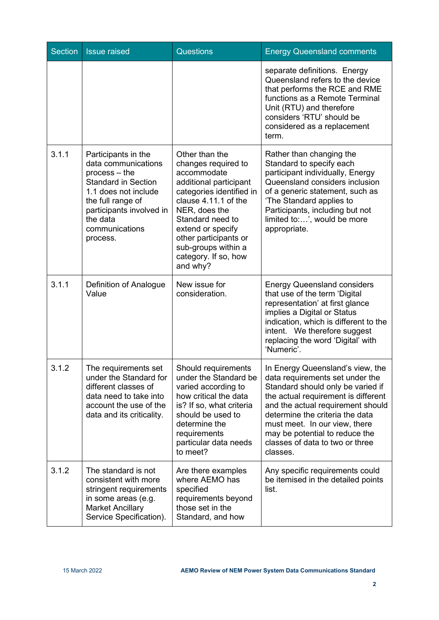| <b>Section</b> | <b>Issue raised</b>                                                                                                                                                                                            | Questions                                                                                                                                                                                                                                                                        | <b>Energy Queensland comments</b>                                                                                                                                                                                                                                                                                                         |
|----------------|----------------------------------------------------------------------------------------------------------------------------------------------------------------------------------------------------------------|----------------------------------------------------------------------------------------------------------------------------------------------------------------------------------------------------------------------------------------------------------------------------------|-------------------------------------------------------------------------------------------------------------------------------------------------------------------------------------------------------------------------------------------------------------------------------------------------------------------------------------------|
|                |                                                                                                                                                                                                                |                                                                                                                                                                                                                                                                                  | separate definitions. Energy<br>Queensland refers to the device<br>that performs the RCE and RME<br>functions as a Remote Terminal<br>Unit (RTU) and therefore<br>considers 'RTU' should be<br>considered as a replacement<br>term.                                                                                                       |
| 3.1.1          | Participants in the<br>data communications<br>$process - the$<br><b>Standard in Section</b><br>1.1 does not include<br>the full range of<br>participants involved in<br>the data<br>communications<br>process. | Other than the<br>changes required to<br>accommodate<br>additional participant<br>categories identified in<br>clause 4.11.1 of the<br>NER, does the<br>Standard need to<br>extend or specify<br>other participants or<br>sub-groups within a<br>category. If so, how<br>and why? | Rather than changing the<br>Standard to specify each<br>participant individually, Energy<br>Queensland considers inclusion<br>of a generic statement, such as<br>'The Standard applies to<br>Participants, including but not<br>limited to:', would be more<br>appropriate.                                                               |
| 3.1.1          | Definition of Analogue<br>Value                                                                                                                                                                                | New issue for<br>consideration.                                                                                                                                                                                                                                                  | <b>Energy Queensland considers</b><br>that use of the term 'Digital<br>representation' at first glance<br>implies a Digital or Status<br>indication, which is different to the<br>intent. We therefore suggest<br>replacing the word 'Digital' with<br>'Numeric'.                                                                         |
| 3.1.2          | The requirements set<br>under the Standard for<br>different classes of<br>data need to take into<br>account the use of the<br>data and its criticality.                                                        | Should requirements<br>under the Standard be<br>varied according to<br>how critical the data<br>is? If so, what criteria<br>should be used to<br>determine the<br>requirements<br>particular data needs<br>to meet?                                                              | In Energy Queensland's view, the<br>data requirements set under the<br>Standard should only be varied if<br>the actual requirement is different<br>and the actual requirement should<br>determine the criteria the data<br>must meet. In our view, there<br>may be potential to reduce the<br>classes of data to two or three<br>classes. |
| 3.1.2          | The standard is not<br>consistent with more<br>stringent requirements<br>in some areas (e.g.<br><b>Market Ancillary</b><br>Service Specification).                                                             | Are there examples<br>where AEMO has<br>specified<br>requirements beyond<br>those set in the<br>Standard, and how                                                                                                                                                                | Any specific requirements could<br>be itemised in the detailed points<br>list.                                                                                                                                                                                                                                                            |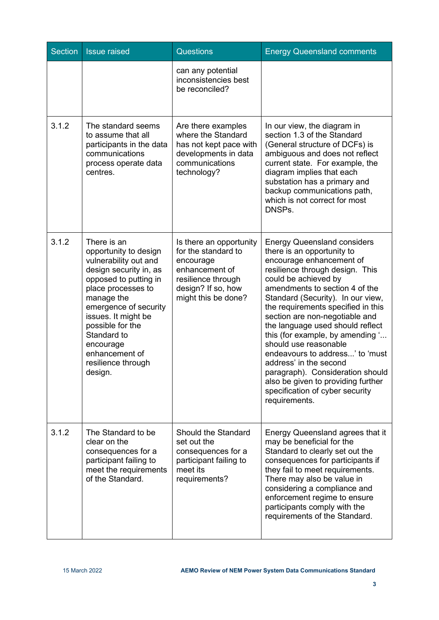| Section | <b>Issue raised</b>                                                                                                                                                                                                                                                                                     | <b>Questions</b>                                                                                                                                 | <b>Energy Queensland comments</b>                                                                                                                                                                                                                                                                                                                                                                                                                                                                                                                                                                  |
|---------|---------------------------------------------------------------------------------------------------------------------------------------------------------------------------------------------------------------------------------------------------------------------------------------------------------|--------------------------------------------------------------------------------------------------------------------------------------------------|----------------------------------------------------------------------------------------------------------------------------------------------------------------------------------------------------------------------------------------------------------------------------------------------------------------------------------------------------------------------------------------------------------------------------------------------------------------------------------------------------------------------------------------------------------------------------------------------------|
|         |                                                                                                                                                                                                                                                                                                         | can any potential<br>inconsistencies best<br>be reconciled?                                                                                      |                                                                                                                                                                                                                                                                                                                                                                                                                                                                                                                                                                                                    |
| 3.1.2   | The standard seems<br>to assume that all<br>participants in the data<br>communications<br>process operate data<br>centres.                                                                                                                                                                              | Are there examples<br>where the Standard<br>has not kept pace with<br>developments in data<br>communications<br>technology?                      | In our view, the diagram in<br>section 1.3 of the Standard<br>(General structure of DCFs) is<br>ambiguous and does not reflect<br>current state. For example, the<br>diagram implies that each<br>substation has a primary and<br>backup communications path,<br>which is not correct for most<br>DNSPs.                                                                                                                                                                                                                                                                                           |
| 3.1.2   | There is an<br>opportunity to design<br>vulnerability out and<br>design security in, as<br>opposed to putting in<br>place processes to<br>manage the<br>emergence of security<br>issues. It might be<br>possible for the<br>Standard to<br>encourage<br>enhancement of<br>resilience through<br>design. | Is there an opportunity<br>for the standard to<br>encourage<br>enhancement of<br>resilience through<br>design? If so, how<br>might this be done? | <b>Energy Queensland considers</b><br>there is an opportunity to<br>encourage enhancement of<br>resilience through design. This<br>could be achieved by<br>amendments to section 4 of the<br>Standard (Security). In our view,<br>the requirements specified in this<br>section are non-negotiable and<br>the language used should reflect<br>this (for example, by amending '<br>should use reasonable<br>endeavours to address' to 'must<br>address' in the second<br>paragraph). Consideration should<br>also be given to providing further<br>specification of cyber security<br>requirements. |
| 3.1.2   | The Standard to be<br>clear on the<br>consequences for a<br>participant failing to<br>meet the requirements<br>of the Standard.                                                                                                                                                                         | <b>Should the Standard</b><br>set out the<br>consequences for a<br>participant failing to<br>meet its<br>requirements?                           | Energy Queensland agrees that it<br>may be beneficial for the<br>Standard to clearly set out the<br>consequences for participants if<br>they fail to meet requirements.<br>There may also be value in<br>considering a compliance and<br>enforcement regime to ensure<br>participants comply with the<br>requirements of the Standard.                                                                                                                                                                                                                                                             |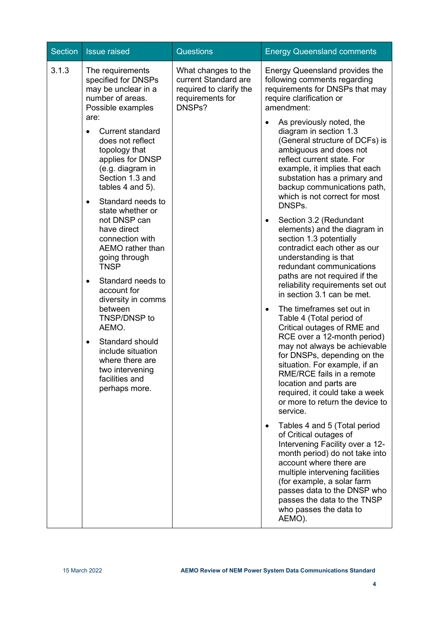| <b>Section</b>         | <b>Issue raised</b>                                                                                                                                                                                          | <b>Questions</b>                                                                                     | <b>Energy Queensland comments</b>                                                                                                                                                                                                                                                                                                                                        |
|------------------------|--------------------------------------------------------------------------------------------------------------------------------------------------------------------------------------------------------------|------------------------------------------------------------------------------------------------------|--------------------------------------------------------------------------------------------------------------------------------------------------------------------------------------------------------------------------------------------------------------------------------------------------------------------------------------------------------------------------|
| 3.1.3                  | The requirements<br>specified for DNSPs<br>may be unclear in a<br>number of areas.<br>Possible examples                                                                                                      | What changes to the<br>current Standard are<br>required to clarify the<br>requirements for<br>DNSPs? | <b>Energy Queensland provides the</b><br>following comments regarding<br>requirements for DNSPs that may<br>require clarification or<br>amendment:                                                                                                                                                                                                                       |
|                        | are:<br><b>Current standard</b><br>$\bullet$<br>does not reflect<br>topology that<br>applies for DNSP<br>(e.g. diagram in<br>Section 1.3 and<br>tables 4 and 5).                                             |                                                                                                      | As previously noted, the<br>$\bullet$<br>diagram in section 1.3<br>(General structure of DCFs) is<br>ambiguous and does not<br>reflect current state. For<br>example, it implies that each<br>substation has a primary and<br>backup communications path,<br>which is not correct for most                                                                               |
| $\bullet$<br>$\bullet$ | Standard needs to<br>state whether or<br>not DNSP can<br>have direct<br>connection with<br><b>AEMO</b> rather than<br>going through<br><b>TNSP</b><br>Standard needs to<br>account for<br>diversity in comms |                                                                                                      | DNSPs.<br>Section 3.2 (Redundant<br>$\bullet$<br>elements) and the diagram in<br>section 1.3 potentially<br>contradict each other as our<br>understanding is that<br>redundant communications<br>paths are not required if the<br>reliability requirements set out<br>in section 3.1 can be met.                                                                         |
|                        | between<br>TNSP/DNSP to<br>AEMO.<br>Standard should<br>$\bullet$<br>include situation<br>where there are<br>two intervening<br>facilities and<br>perhaps more.                                               |                                                                                                      | The timeframes set out in<br>$\bullet$<br>Table 4 (Total period of<br>Critical outages of RME and<br>RCE over a 12-month period)<br>may not always be achievable<br>for DNSPs, depending on the<br>situation. For example, if an<br>RME/RCE fails in a remote<br>location and parts are<br>required, it could take a week<br>or more to return the device to<br>service. |
|                        |                                                                                                                                                                                                              |                                                                                                      | Tables 4 and 5 (Total period<br>$\bullet$<br>of Critical outages of<br>Intervening Facility over a 12-<br>month period) do not take into<br>account where there are<br>multiple intervening facilities<br>(for example, a solar farm<br>passes data to the DNSP who<br>passes the data to the TNSP<br>who passes the data to<br>AEMO).                                   |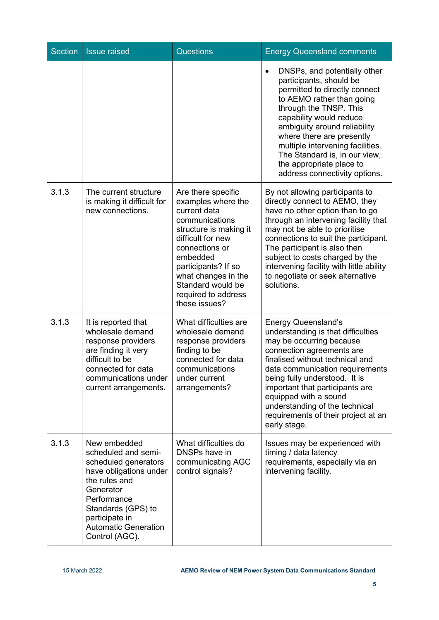| Section | <b>Issue raised</b>                                                                                                                                                                                                         | <b>Questions</b>                                                                                                                                                                                                                                                   | <b>Energy Queensland comments</b>                                                                                                                                                                                                                                                                                                                                                      |
|---------|-----------------------------------------------------------------------------------------------------------------------------------------------------------------------------------------------------------------------------|--------------------------------------------------------------------------------------------------------------------------------------------------------------------------------------------------------------------------------------------------------------------|----------------------------------------------------------------------------------------------------------------------------------------------------------------------------------------------------------------------------------------------------------------------------------------------------------------------------------------------------------------------------------------|
|         |                                                                                                                                                                                                                             |                                                                                                                                                                                                                                                                    | DNSPs, and potentially other<br>$\bullet$<br>participants, should be<br>permitted to directly connect<br>to AEMO rather than going<br>through the TNSP. This<br>capability would reduce<br>ambiguity around reliability<br>where there are presently<br>multiple intervening facilities.<br>The Standard is, in our view,<br>the appropriate place to<br>address connectivity options. |
| 3.1.3   | The current structure<br>is making it difficult for<br>new connections.                                                                                                                                                     | Are there specific<br>examples where the<br>current data<br>communications<br>structure is making it<br>difficult for new<br>connections or<br>embedded<br>participants? If so<br>what changes in the<br>Standard would be<br>required to address<br>these issues? | By not allowing participants to<br>directly connect to AEMO, they<br>have no other option than to go<br>through an intervening facility that<br>may not be able to prioritise<br>connections to suit the participant.<br>The participant is also then<br>subject to costs charged by the<br>intervening facility with little ability<br>to negotiate or seek alternative<br>solutions. |
| 3.1.3   | It is reported that<br>wholesale demand<br>response providers<br>are finding it very<br>difficult to be<br>connected for data<br>communications under<br>current arrangements.                                              | What difficulties are<br>wholesale demand<br>response providers<br>finding to be<br>connected for data<br>communications<br>under current<br>arrangements?                                                                                                         | <b>Energy Queensland's</b><br>understanding is that difficulties<br>may be occurring because<br>connection agreements are<br>finalised without technical and<br>data communication requirements<br>being fully understood. It is<br>important that participants are<br>equipped with a sound<br>understanding of the technical<br>requirements of their project at an<br>early stage.  |
| 3.1.3   | New embedded<br>scheduled and semi-<br>scheduled generators<br>have obligations under<br>the rules and<br>Generator<br>Performance<br>Standards (GPS) to<br>participate in<br><b>Automatic Generation</b><br>Control (AGC). | What difficulties do<br>DNSPs have in<br>communicating AGC<br>control signals?                                                                                                                                                                                     | Issues may be experienced with<br>timing / data latency<br>requirements, especially via an<br>intervening facility.                                                                                                                                                                                                                                                                    |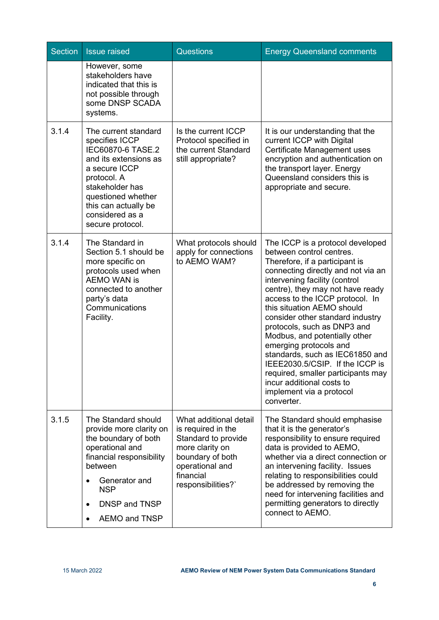| Section | <b>Issue raised</b>                                                                                                                                                                                                          | <b>Questions</b>                                                                                                                                                 | <b>Energy Queensland comments</b>                                                                                                                                                                                                                                                                                                                                                                                                                                                                                                                                                           |
|---------|------------------------------------------------------------------------------------------------------------------------------------------------------------------------------------------------------------------------------|------------------------------------------------------------------------------------------------------------------------------------------------------------------|---------------------------------------------------------------------------------------------------------------------------------------------------------------------------------------------------------------------------------------------------------------------------------------------------------------------------------------------------------------------------------------------------------------------------------------------------------------------------------------------------------------------------------------------------------------------------------------------|
|         | However, some<br>stakeholders have<br>indicated that this is<br>not possible through<br>some DNSP SCADA<br>systems.                                                                                                          |                                                                                                                                                                  |                                                                                                                                                                                                                                                                                                                                                                                                                                                                                                                                                                                             |
| 3.1.4   | The current standard<br>specifies ICCP<br>IEC60870-6 TASE.2<br>and its extensions as<br>a secure ICCP<br>protocol. A<br>stakeholder has<br>questioned whether<br>this can actually be<br>considered as a<br>secure protocol. | Is the current ICCP<br>Protocol specified in<br>the current Standard<br>still appropriate?                                                                       | It is our understanding that the<br>current ICCP with Digital<br>Certificate Management uses<br>encryption and authentication on<br>the transport layer. Energy<br>Queensland considers this is<br>appropriate and secure.                                                                                                                                                                                                                                                                                                                                                                  |
| 3.1.4   | The Standard in<br>Section 5.1 should be<br>more specific on<br>protocols used when<br><b>AEMO WAN is</b><br>connected to another<br>party's data<br>Communications<br>Facility.                                             | What protocols should<br>apply for connections<br>to AEMO WAM?                                                                                                   | The ICCP is a protocol developed<br>between control centres.<br>Therefore, if a participant is<br>connecting directly and not via an<br>intervening facility (control<br>centre), they may not have ready<br>access to the ICCP protocol. In<br>this situation AEMO should<br>consider other standard industry<br>protocols, such as DNP3 and<br>Modbus, and potentially other<br>emerging protocols and<br>standards, such as IEC61850 and<br>IEEE2030.5/CSIP. If the ICCP is<br>required, smaller participants may<br>incur additional costs to<br>implement via a protocol<br>converter. |
| 3.1.5   | The Standard should<br>provide more clarity on<br>the boundary of both<br>operational and<br>financial responsibility<br>between<br>Generator and<br>$\bullet$<br><b>NSP</b><br>DNSP and TNSP<br><b>AEMO and TNSP</b>        | What additional detail<br>is required in the<br>Standard to provide<br>more clarity on<br>boundary of both<br>operational and<br>financial<br>responsibilities?` | The Standard should emphasise<br>that it is the generator's<br>responsibility to ensure required<br>data is provided to AEMO,<br>whether via a direct connection or<br>an intervening facility. Issues<br>relating to responsibilities could<br>be addressed by removing the<br>need for intervening facilities and<br>permitting generators to directly<br>connect to AEMO.                                                                                                                                                                                                                |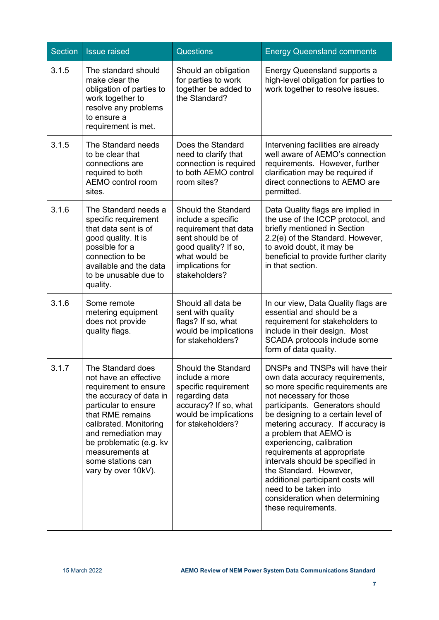| Section | <b>Issue raised</b>                                                                                                                                                                                                                                                                   | <b>Questions</b>                                                                                                                                                      | <b>Energy Queensland comments</b>                                                                                                                                                                                                                                                                                                                                                                                                                                                                                           |
|---------|---------------------------------------------------------------------------------------------------------------------------------------------------------------------------------------------------------------------------------------------------------------------------------------|-----------------------------------------------------------------------------------------------------------------------------------------------------------------------|-----------------------------------------------------------------------------------------------------------------------------------------------------------------------------------------------------------------------------------------------------------------------------------------------------------------------------------------------------------------------------------------------------------------------------------------------------------------------------------------------------------------------------|
| 3.1.5   | The standard should<br>make clear the<br>obligation of parties to<br>work together to<br>resolve any problems<br>to ensure a<br>requirement is met.                                                                                                                                   | Should an obligation<br>for parties to work<br>together be added to<br>the Standard?                                                                                  | Energy Queensland supports a<br>high-level obligation for parties to<br>work together to resolve issues.                                                                                                                                                                                                                                                                                                                                                                                                                    |
| 3.1.5   | The Standard needs<br>to be clear that<br>connections are<br>required to both<br>AEMO control room<br>sites.                                                                                                                                                                          | Does the Standard<br>need to clarify that<br>connection is required<br>to both AEMO control<br>room sites?                                                            | Intervening facilities are already<br>well aware of AEMO's connection<br>requirements. However, further<br>clarification may be required if<br>direct connections to AEMO are<br>permitted.                                                                                                                                                                                                                                                                                                                                 |
| 3.1.6   | The Standard needs a<br>specific requirement<br>that data sent is of<br>good quality. It is<br>possible for a<br>connection to be<br>available and the data<br>to be unusable due to<br>quality.                                                                                      | Should the Standard<br>include a specific<br>requirement that data<br>sent should be of<br>good quality? If so,<br>what would be<br>implications for<br>stakeholders? | Data Quality flags are implied in<br>the use of the ICCP protocol, and<br>briefly mentioned in Section<br>2.2(e) of the Standard. However,<br>to avoid doubt, it may be<br>beneficial to provide further clarity<br>in that section.                                                                                                                                                                                                                                                                                        |
| 3.1.6   | Some remote<br>metering equipment<br>does not provide<br>quality flags.                                                                                                                                                                                                               | Should all data be<br>sent with quality<br>flags? If so, what<br>would be implications<br>for stakeholders?                                                           | In our view, Data Quality flags are<br>essential and should be a<br>requirement for stakeholders to<br>include in their design. Most<br>SCADA protocols include some<br>form of data quality.                                                                                                                                                                                                                                                                                                                               |
| 3.1.7   | The Standard does<br>not have an effective<br>requirement to ensure<br>the accuracy of data in<br>particular to ensure<br>that RME remains<br>calibrated. Monitoring<br>and remediation may<br>be problematic (e.g. kv<br>measurements at<br>some stations can<br>vary by over 10kV). | <b>Should the Standard</b><br>include a more<br>specific requirement<br>regarding data<br>accuracy? If so, what<br>would be implications<br>for stakeholders?         | DNSPs and TNSPs will have their<br>own data accuracy requirements,<br>so more specific requirements are<br>not necessary for those<br>participants. Generators should<br>be designing to a certain level of<br>metering accuracy. If accuracy is<br>a problem that AEMO is<br>experiencing, calibration<br>requirements at appropriate<br>intervals should be specified in<br>the Standard. However,<br>additional participant costs will<br>need to be taken into<br>consideration when determining<br>these requirements. |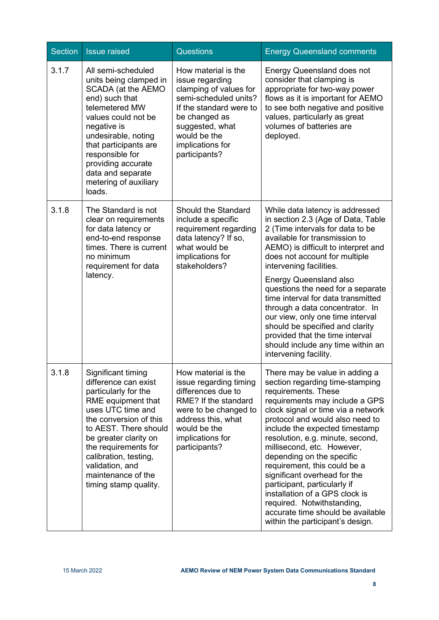| <b>Section</b> | <b>Issue raised</b>                                                                                                                                                                                                                                                                                          | <b>Questions</b>                                                                                                                                                                                              | <b>Energy Queensland comments</b>                                                                                                                                                                                                                                                                                                                                                                                                                                                                                                                                             |
|----------------|--------------------------------------------------------------------------------------------------------------------------------------------------------------------------------------------------------------------------------------------------------------------------------------------------------------|---------------------------------------------------------------------------------------------------------------------------------------------------------------------------------------------------------------|-------------------------------------------------------------------------------------------------------------------------------------------------------------------------------------------------------------------------------------------------------------------------------------------------------------------------------------------------------------------------------------------------------------------------------------------------------------------------------------------------------------------------------------------------------------------------------|
| 3.1.7          | All semi-scheduled<br>units being clamped in<br>SCADA (at the AEMO<br>end) such that<br>telemetered MW<br>values could not be<br>negative is<br>undesirable, noting<br>that participants are<br>responsible for<br>providing accurate<br>data and separate<br>metering of auxiliary<br>loads.                | How material is the<br>issue regarding<br>clamping of values for<br>semi-scheduled units?<br>If the standard were to<br>be changed as<br>suggested, what<br>would be the<br>implications for<br>participants? | <b>Energy Queensland does not</b><br>consider that clamping is<br>appropriate for two-way power<br>flows as it is important for AEMO<br>to see both negative and positive<br>values, particularly as great<br>volumes of batteries are<br>deployed.                                                                                                                                                                                                                                                                                                                           |
| 3.1.8          | The Standard is not<br>clear on requirements<br>for data latency or<br>end-to-end response<br>times. There is current<br>no minimum<br>requirement for data<br>latency.                                                                                                                                      | <b>Should the Standard</b><br>include a specific<br>requirement regarding<br>data latency? If so,<br>what would be<br>implications for<br>stakeholders?                                                       | While data latency is addressed<br>in section 2.3 (Age of Data, Table<br>2 (Time intervals for data to be<br>available for transmission to<br>AEMO) is difficult to interpret and<br>does not account for multiple<br>intervening facilities.<br><b>Energy Queensland also</b><br>questions the need for a separate<br>time interval for data transmitted<br>through a data concentrator. In<br>our view, only one time interval<br>should be specified and clarity<br>provided that the time interval<br>should include any time within an<br>intervening facility.          |
| 3.1.8          | Significant timing<br>difference can exist<br>particularly for the<br>RME equipment that<br>uses UTC time and<br>the conversion of this<br>to AEST. There should<br>be greater clarity on<br>the requirements for<br>calibration, testing,<br>validation, and<br>maintenance of the<br>timing stamp quality. | How material is the<br>issue regarding timing<br>differences due to<br>RME? If the standard<br>were to be changed to<br>address this, what<br>would be the<br>implications for<br>participants?               | There may be value in adding a<br>section regarding time-stamping<br>requirements. These<br>requirements may include a GPS<br>clock signal or time via a network<br>protocol and would also need to<br>include the expected timestamp<br>resolution, e.g. minute, second,<br>millisecond, etc. However,<br>depending on the specific<br>requirement, this could be a<br>significant overhead for the<br>participant, particularly if<br>installation of a GPS clock is<br>required. Notwithstanding,<br>accurate time should be available<br>within the participant's design. |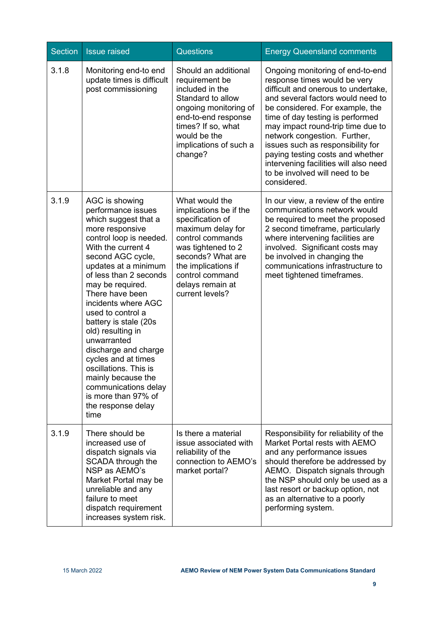| <b>Section</b> | <b>Issue raised</b>                                                                                                                                                                                                                                                                                                                                                                                                                                                                                                                | <b>Questions</b>                                                                                                                                                                                                                  | <b>Energy Queensland comments</b>                                                                                                                                                                                                                                                                                                                                                                                                                           |
|----------------|------------------------------------------------------------------------------------------------------------------------------------------------------------------------------------------------------------------------------------------------------------------------------------------------------------------------------------------------------------------------------------------------------------------------------------------------------------------------------------------------------------------------------------|-----------------------------------------------------------------------------------------------------------------------------------------------------------------------------------------------------------------------------------|-------------------------------------------------------------------------------------------------------------------------------------------------------------------------------------------------------------------------------------------------------------------------------------------------------------------------------------------------------------------------------------------------------------------------------------------------------------|
| 3.1.8          | Monitoring end-to end<br>update times is difficult<br>post commissioning                                                                                                                                                                                                                                                                                                                                                                                                                                                           | Should an additional<br>requirement be<br>included in the<br>Standard to allow<br>ongoing monitoring of<br>end-to-end response<br>times? If so, what<br>would be the<br>implications of such a<br>change?                         | Ongoing monitoring of end-to-end<br>response times would be very<br>difficult and onerous to undertake,<br>and several factors would need to<br>be considered. For example, the<br>time of day testing is performed<br>may impact round-trip time due to<br>network congestion. Further,<br>issues such as responsibility for<br>paying testing costs and whether<br>intervening facilities will also need<br>to be involved will need to be<br>considered. |
| 3.1.9          | AGC is showing<br>performance issues<br>which suggest that a<br>more responsive<br>control loop is needed.<br>With the current 4<br>second AGC cycle,<br>updates at a minimum<br>of less than 2 seconds<br>may be required.<br>There have been<br>incidents where AGC<br>used to control a<br>battery is stale (20s<br>old) resulting in<br>unwarranted<br>discharge and charge<br>cycles and at times<br>oscillations. This is<br>mainly because the<br>communications delay<br>is more than 97% of<br>the response delay<br>time | What would the<br>implications be if the<br>specification of<br>maximum delay for<br>control commands<br>was tightened to 2<br>seconds? What are<br>the implications if<br>control command<br>delays remain at<br>current levels? | In our view, a review of the entire<br>communications network would<br>be required to meet the proposed<br>2 second timeframe, particularly<br>where intervening facilities are<br>involved. Significant costs may<br>be involved in changing the<br>communications infrastructure to<br>meet tightened timeframes.                                                                                                                                         |
| 3.1.9          | There should be<br>increased use of<br>dispatch signals via<br>SCADA through the<br>NSP as AEMO's<br>Market Portal may be<br>unreliable and any<br>failure to meet<br>dispatch requirement<br>increases system risk.                                                                                                                                                                                                                                                                                                               | Is there a material<br>issue associated with<br>reliability of the<br>connection to AEMO's<br>market portal?                                                                                                                      | Responsibility for reliability of the<br>Market Portal rests with AEMO<br>and any performance issues<br>should therefore be addressed by<br>AEMO. Dispatch signals through<br>the NSP should only be used as a<br>last resort or backup option, not<br>as an alternative to a poorly<br>performing system.                                                                                                                                                  |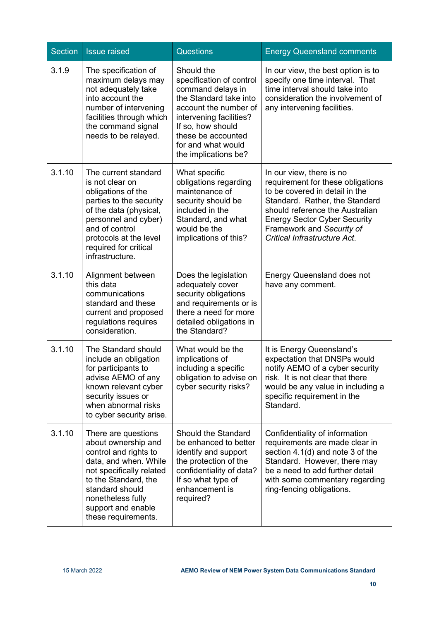| Section | <b>Issue raised</b>                                                                                                                                                                                                                   | <b>Questions</b>                                                                                                                                                                                                                   | <b>Energy Queensland comments</b>                                                                                                                                                                                                                                        |
|---------|---------------------------------------------------------------------------------------------------------------------------------------------------------------------------------------------------------------------------------------|------------------------------------------------------------------------------------------------------------------------------------------------------------------------------------------------------------------------------------|--------------------------------------------------------------------------------------------------------------------------------------------------------------------------------------------------------------------------------------------------------------------------|
| 3.1.9   | The specification of<br>maximum delays may<br>not adequately take<br>into account the<br>number of intervening<br>facilities through which<br>the command signal<br>needs to be relayed.                                              | Should the<br>specification of control<br>command delays in<br>the Standard take into<br>account the number of<br>intervening facilities?<br>If so, how should<br>these be accounted<br>for and what would<br>the implications be? | In our view, the best option is to<br>specify one time interval. That<br>time interval should take into<br>consideration the involvement of<br>any intervening facilities.                                                                                               |
| 3.1.10  | The current standard<br>is not clear on<br>obligations of the<br>parties to the security<br>of the data (physical,<br>personnel and cyber)<br>and of control<br>protocols at the level<br>required for critical<br>infrastructure.    | What specific<br>obligations regarding<br>maintenance of<br>security should be<br>included in the<br>Standard, and what<br>would be the<br>implications of this?                                                                   | In our view, there is no<br>requirement for these obligations<br>to be covered in detail in the<br>Standard. Rather, the Standard<br>should reference the Australian<br><b>Energy Sector Cyber Security</b><br>Framework and Security of<br>Critical Infrastructure Act. |
| 3.1.10  | Alignment between<br>this data<br>communications<br>standard and these<br>current and proposed<br>regulations requires<br>consideration.                                                                                              | Does the legislation<br>adequately cover<br>security obligations<br>and requirements or is<br>there a need for more<br>detailed obligations in<br>the Standard?                                                                    | <b>Energy Queensland does not</b><br>have any comment.                                                                                                                                                                                                                   |
| 3.1.10  | The Standard should<br>include an obligation<br>for participants to<br>advise AEMO of any<br>known relevant cyber<br>security issues or<br>when abnormal risks<br>to cyber security arise.                                            | What would be the<br>implications of<br>including a specific<br>obligation to advise on<br>cyber security risks?                                                                                                                   | It is Energy Queensland's<br>expectation that DNSPs would<br>notify AEMO of a cyber security<br>risk. It is not clear that there<br>would be any value in including a<br>specific requirement in the<br>Standard.                                                        |
| 3.1.10  | There are questions<br>about ownership and<br>control and rights to<br>data, and when. While<br>not specifically related<br>to the Standard, the<br>standard should<br>nonetheless fully<br>support and enable<br>these requirements. | <b>Should the Standard</b><br>be enhanced to better<br>identify and support<br>the protection of the<br>confidentiality of data?<br>If so what type of<br>enhancement is<br>required?                                              | Confidentiality of information<br>requirements are made clear in<br>section 4.1(d) and note 3 of the<br>Standard. However, there may<br>be a need to add further detail<br>with some commentary regarding<br>ring-fencing obligations.                                   |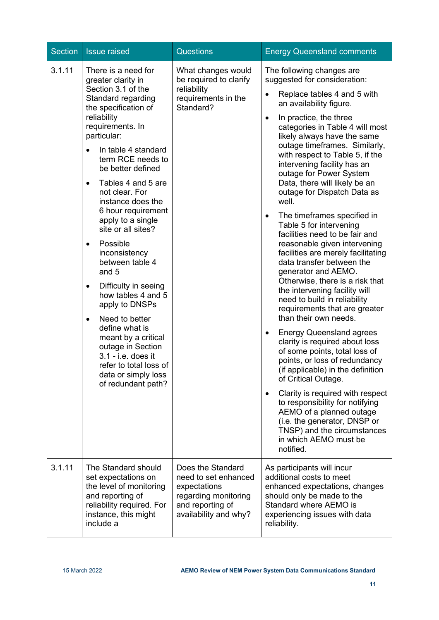| <b>Section</b> | <b>Issue raised</b>                                                                                                                                                                                                                                                                                                                                                                                                                                                                                                                                                                                                                                                                                                                   | <b>Questions</b>                                                                                                               | <b>Energy Queensland comments</b>                                                                                                                                                                                                                                                                                                                                                                                                                                                                                                                                                                                                                                                                                                                                                                                                                                                                                                                                                                                                                                                                                                                                                                                                    |
|----------------|---------------------------------------------------------------------------------------------------------------------------------------------------------------------------------------------------------------------------------------------------------------------------------------------------------------------------------------------------------------------------------------------------------------------------------------------------------------------------------------------------------------------------------------------------------------------------------------------------------------------------------------------------------------------------------------------------------------------------------------|--------------------------------------------------------------------------------------------------------------------------------|--------------------------------------------------------------------------------------------------------------------------------------------------------------------------------------------------------------------------------------------------------------------------------------------------------------------------------------------------------------------------------------------------------------------------------------------------------------------------------------------------------------------------------------------------------------------------------------------------------------------------------------------------------------------------------------------------------------------------------------------------------------------------------------------------------------------------------------------------------------------------------------------------------------------------------------------------------------------------------------------------------------------------------------------------------------------------------------------------------------------------------------------------------------------------------------------------------------------------------------|
| 3.1.11         | There is a need for<br>greater clarity in<br>Section 3.1 of the<br>Standard regarding<br>the specification of<br>reliability<br>requirements. In<br>particular:<br>In table 4 standard<br>$\bullet$<br>term RCE needs to<br>be better defined<br>Tables 4 and 5 are<br>$\bullet$<br>not clear. For<br>instance does the<br>6 hour requirement<br>apply to a single<br>site or all sites?<br>Possible<br>$\bullet$<br>inconsistency<br>between table 4<br>and 5<br>Difficulty in seeing<br>$\bullet$<br>how tables 4 and 5<br>apply to DNSPs<br>Need to better<br>$\bullet$<br>define what is<br>meant by a critical<br>outage in Section<br>3.1 - i.e. does it<br>refer to total loss of<br>data or simply loss<br>of redundant path? | What changes would<br>be required to clarify<br>reliability<br>requirements in the<br>Standard?                                | The following changes are<br>suggested for consideration:<br>Replace tables 4 and 5 with<br>an availability figure.<br>In practice, the three<br>٠<br>categories in Table 4 will most<br>likely always have the same<br>outage timeframes. Similarly,<br>with respect to Table 5, if the<br>intervening facility has an<br>outage for Power System<br>Data, there will likely be an<br>outage for Dispatch Data as<br>well.<br>The timeframes specified in<br>٠<br>Table 5 for intervening<br>facilities need to be fair and<br>reasonable given intervening<br>facilities are merely facilitating<br>data transfer between the<br>generator and AEMO.<br>Otherwise, there is a risk that<br>the intervening facility will<br>need to build in reliability<br>requirements that are greater<br>than their own needs.<br><b>Energy Queensland agrees</b><br>٠<br>clarity is required about loss<br>of some points, total loss of<br>points, or loss of redundancy<br>(if applicable) in the definition<br>of Critical Outage.<br>Clarity is required with respect<br>to responsibility for notifying<br>AEMO of a planned outage<br>(i.e. the generator, DNSP or<br>TNSP) and the circumstances<br>in which AEMO must be<br>notified. |
| 3.1.11         | The Standard should<br>set expectations on<br>the level of monitoring<br>and reporting of<br>reliability required. For<br>instance, this might<br>include a                                                                                                                                                                                                                                                                                                                                                                                                                                                                                                                                                                           | Does the Standard<br>need to set enhanced<br>expectations<br>regarding monitoring<br>and reporting of<br>availability and why? | As participants will incur<br>additional costs to meet<br>enhanced expectations, changes<br>should only be made to the<br>Standard where AEMO is<br>experiencing issues with data<br>reliability.                                                                                                                                                                                                                                                                                                                                                                                                                                                                                                                                                                                                                                                                                                                                                                                                                                                                                                                                                                                                                                    |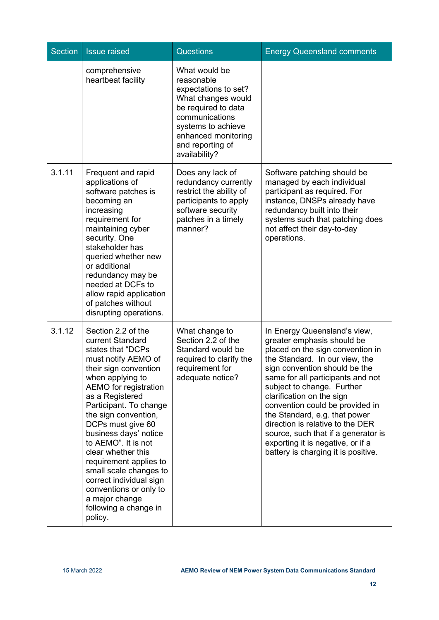| <b>Section</b> | <b>Issue raised</b>                                                                                                                                                                                                                                                                                                                                                                                                                                                                            | Questions                                                                                                                                                                                            | <b>Energy Queensland comments</b>                                                                                                                                                                                                                                                                                                                                                                                                                                                            |
|----------------|------------------------------------------------------------------------------------------------------------------------------------------------------------------------------------------------------------------------------------------------------------------------------------------------------------------------------------------------------------------------------------------------------------------------------------------------------------------------------------------------|------------------------------------------------------------------------------------------------------------------------------------------------------------------------------------------------------|----------------------------------------------------------------------------------------------------------------------------------------------------------------------------------------------------------------------------------------------------------------------------------------------------------------------------------------------------------------------------------------------------------------------------------------------------------------------------------------------|
|                | comprehensive<br>heartbeat facility                                                                                                                                                                                                                                                                                                                                                                                                                                                            | What would be<br>reasonable<br>expectations to set?<br>What changes would<br>be required to data<br>communications<br>systems to achieve<br>enhanced monitoring<br>and reporting of<br>availability? |                                                                                                                                                                                                                                                                                                                                                                                                                                                                                              |
| 3.1.11         | Frequent and rapid<br>applications of<br>software patches is<br>becoming an<br>increasing<br>requirement for<br>maintaining cyber<br>security. One<br>stakeholder has<br>queried whether new<br>or additional<br>redundancy may be<br>needed at DCFs to<br>allow rapid application<br>of patches without<br>disrupting operations.                                                                                                                                                             | Does any lack of<br>redundancy currently<br>restrict the ability of<br>participants to apply<br>software security<br>patches in a timely<br>manner?                                                  | Software patching should be<br>managed by each individual<br>participant as required. For<br>instance, DNSPs already have<br>redundancy built into their<br>systems such that patching does<br>not affect their day-to-day<br>operations.                                                                                                                                                                                                                                                    |
| 3.1.12         | Section 2.2 of the<br>current Standard<br>states that "DCPs<br>must notify AEMO of<br>their sign convention<br>when applying to<br><b>AEMO</b> for registration<br>as a Registered<br>Participant. To change<br>the sign convention,<br>DCPs must give 60<br>business days' notice<br>to AEMO". It is not<br>clear whether this<br>requirement applies to<br>small scale changes to<br>correct individual sign<br>conventions or only to<br>a major change<br>following a change in<br>policy. | What change to<br>Section 2.2 of the<br>Standard would be<br>required to clarify the<br>requirement for<br>adequate notice?                                                                          | In Energy Queensland's view,<br>greater emphasis should be<br>placed on the sign convention in<br>the Standard. In our view, the<br>sign convention should be the<br>same for all participants and not<br>subject to change. Further<br>clarification on the sign<br>convention could be provided in<br>the Standard, e.g. that power<br>direction is relative to the DER<br>source, such that if a generator is<br>exporting it is negative, or if a<br>battery is charging it is positive. |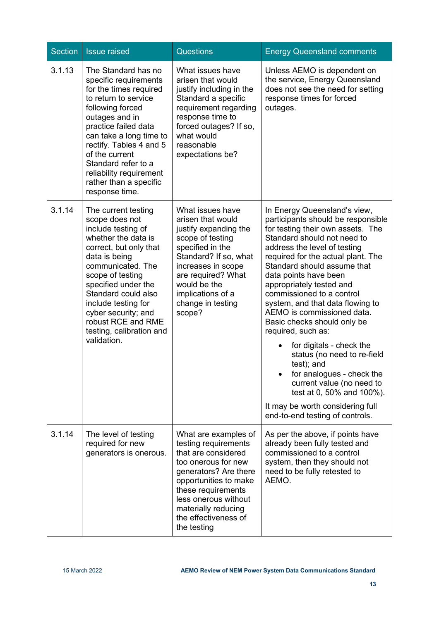| <b>Section</b> | <b>Issue raised</b>                                                                                                                                                                                                                                                                                                                 | <b>Questions</b>                                                                                                                                                                                                                                         | <b>Energy Queensland comments</b>                                                                                                                                                                                                                                                                                                                                                                                                                                                                                                                                                                                                                                                           |
|----------------|-------------------------------------------------------------------------------------------------------------------------------------------------------------------------------------------------------------------------------------------------------------------------------------------------------------------------------------|----------------------------------------------------------------------------------------------------------------------------------------------------------------------------------------------------------------------------------------------------------|---------------------------------------------------------------------------------------------------------------------------------------------------------------------------------------------------------------------------------------------------------------------------------------------------------------------------------------------------------------------------------------------------------------------------------------------------------------------------------------------------------------------------------------------------------------------------------------------------------------------------------------------------------------------------------------------|
| 3.1.13         | The Standard has no<br>specific requirements<br>for the times required<br>to return to service<br>following forced<br>outages and in<br>practice failed data<br>can take a long time to<br>rectify. Tables 4 and 5<br>of the current<br>Standard refer to a<br>reliability requirement<br>rather than a specific<br>response time.  | What issues have<br>arisen that would<br>justify including in the<br>Standard a specific<br>requirement regarding<br>response time to<br>forced outages? If so,<br>what would<br>reasonable<br>expectations be?                                          | Unless AEMO is dependent on<br>the service, Energy Queensland<br>does not see the need for setting<br>response times for forced<br>outages.                                                                                                                                                                                                                                                                                                                                                                                                                                                                                                                                                 |
| 3.1.14         | The current testing<br>scope does not<br>include testing of<br>whether the data is<br>correct, but only that<br>data is being<br>communicated. The<br>scope of testing<br>specified under the<br>Standard could also<br>include testing for<br>cyber security; and<br>robust RCE and RME<br>testing, calibration and<br>validation. | What issues have<br>arisen that would<br>justify expanding the<br>scope of testing<br>specified in the<br>Standard? If so, what<br>increases in scope<br>are required? What<br>would be the<br>implications of a<br>change in testing<br>scope?          | In Energy Queensland's view,<br>participants should be responsible<br>for testing their own assets. The<br>Standard should not need to<br>address the level of testing<br>required for the actual plant. The<br>Standard should assume that<br>data points have been<br>appropriately tested and<br>commissioned to a control<br>system, and that data flowing to<br>AEMO is commissioned data.<br>Basic checks should only be<br>required, such as:<br>for digitals - check the<br>status (no need to re-field<br>test); and<br>for analogues - check the<br>current value (no need to<br>test at 0, 50% and 100%).<br>It may be worth considering full<br>end-to-end testing of controls. |
| 3.1.14         | The level of testing<br>required for new<br>generators is onerous.                                                                                                                                                                                                                                                                  | What are examples of<br>testing requirements<br>that are considered<br>too onerous for new<br>generators? Are there<br>opportunities to make<br>these requirements<br>less onerous without<br>materially reducing<br>the effectiveness of<br>the testing | As per the above, if points have<br>already been fully tested and<br>commissioned to a control<br>system, then they should not<br>need to be fully retested to<br>AEMO.                                                                                                                                                                                                                                                                                                                                                                                                                                                                                                                     |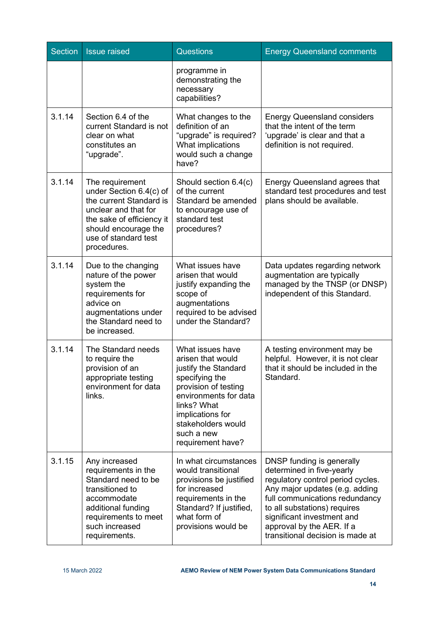| <b>Section</b> | <b>Issue raised</b>                                                                                                                                                                       | Questions                                                                                                                                                                                                                    | <b>Energy Queensland comments</b>                                                                                                                                                                                                                                                              |
|----------------|-------------------------------------------------------------------------------------------------------------------------------------------------------------------------------------------|------------------------------------------------------------------------------------------------------------------------------------------------------------------------------------------------------------------------------|------------------------------------------------------------------------------------------------------------------------------------------------------------------------------------------------------------------------------------------------------------------------------------------------|
|                |                                                                                                                                                                                           | programme in<br>demonstrating the<br>necessary<br>capabilities?                                                                                                                                                              |                                                                                                                                                                                                                                                                                                |
| 3.1.14         | Section 6.4 of the<br>current Standard is not<br>clear on what<br>constitutes an<br>"upgrade".                                                                                            | What changes to the<br>definition of an<br>"upgrade" is required?<br>What implications<br>would such a change<br>have?                                                                                                       | <b>Energy Queensland considers</b><br>that the intent of the term<br>'upgrade' is clear and that a<br>definition is not required.                                                                                                                                                              |
| 3.1.14         | The requirement<br>under Section 6.4(c) of<br>the current Standard is<br>unclear and that for<br>the sake of efficiency it<br>should encourage the<br>use of standard test<br>procedures. | Should section 6.4(c)<br>of the current<br>Standard be amended<br>to encourage use of<br>standard test<br>procedures?                                                                                                        | <b>Energy Queensland agrees that</b><br>standard test procedures and test<br>plans should be available.                                                                                                                                                                                        |
| 3.1.14         | Due to the changing<br>nature of the power<br>system the<br>requirements for<br>advice on<br>augmentations under<br>the Standard need to<br>be increased.                                 | What issues have<br>arisen that would<br>justify expanding the<br>scope of<br>augmentations<br>required to be advised<br>under the Standard?                                                                                 | Data updates regarding network<br>augmentation are typically<br>managed by the TNSP (or DNSP)<br>independent of this Standard.                                                                                                                                                                 |
| 3.1.14         | The Standard needs<br>to require the<br>provision of an<br>appropriate testing<br>environment for data<br>links.                                                                          | What issues have<br>arisen that would<br>justify the Standard<br>specifying the<br>provision of testing<br>environments for data<br>links? What<br>implications for<br>stakeholders would<br>such a new<br>requirement have? | A testing environment may be<br>helpful. However, it is not clear<br>that it should be included in the<br>Standard.                                                                                                                                                                            |
| 3.1.15         | Any increased<br>requirements in the<br>Standard need to be<br>transitioned to<br>accommodate<br>additional funding<br>requirements to meet<br>such increased<br>requirements.            | In what circumstances<br>would transitional<br>provisions be justified<br>for increased<br>requirements in the<br>Standard? If justified,<br>what form of<br>provisions would be                                             | DNSP funding is generally<br>determined in five-yearly<br>regulatory control period cycles.<br>Any major updates (e.g. adding<br>full communications redundancy<br>to all substations) requires<br>significant investment and<br>approval by the AER. If a<br>transitional decision is made at |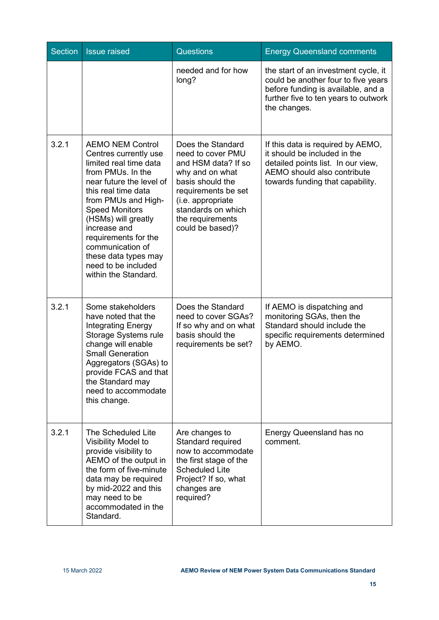| <b>Section</b> | <b>Issue raised</b>                                                                                                                                                                                                                                                                                                                                          | Questions                                                                                                                                                                                                      | <b>Energy Queensland comments</b>                                                                                                                                          |
|----------------|--------------------------------------------------------------------------------------------------------------------------------------------------------------------------------------------------------------------------------------------------------------------------------------------------------------------------------------------------------------|----------------------------------------------------------------------------------------------------------------------------------------------------------------------------------------------------------------|----------------------------------------------------------------------------------------------------------------------------------------------------------------------------|
|                |                                                                                                                                                                                                                                                                                                                                                              | needed and for how<br>long?                                                                                                                                                                                    | the start of an investment cycle, it<br>could be another four to five years<br>before funding is available, and a<br>further five to ten years to outwork<br>the changes.  |
| 3.2.1          | <b>AEMO NEM Control</b><br>Centres currently use<br>limited real time data<br>from PMUs. In the<br>near future the level of<br>this real time data<br>from PMUs and High-<br><b>Speed Monitors</b><br>(HSMs) will greatly<br>increase and<br>requirements for the<br>communication of<br>these data types may<br>need to be included<br>within the Standard. | Does the Standard<br>need to cover PMU<br>and HSM data? If so<br>why and on what<br>basis should the<br>requirements be set<br>(i.e. appropriate<br>standards on which<br>the requirements<br>could be based)? | If this data is required by AEMO,<br>it should be included in the<br>detailed points list. In our view,<br>AEMO should also contribute<br>towards funding that capability. |
| 3.2.1          | Some stakeholders<br>have noted that the<br><b>Integrating Energy</b><br>Storage Systems rule<br>change will enable<br><b>Small Generation</b><br>Aggregators (SGAs) to<br>provide FCAS and that<br>the Standard may<br>need to accommodate<br>this change.                                                                                                  | Does the Standard<br>need to cover SGAs?<br>If so why and on what<br>basis should the<br>requirements be set?                                                                                                  | If AEMO is dispatching and<br>monitoring SGAs, then the<br>Standard should include the<br>specific requirements determined<br>by AEMO.                                     |
| 3.2.1          | The Scheduled Lite<br>Visibility Model to<br>provide visibility to<br>AEMO of the output in<br>the form of five-minute<br>data may be required<br>by mid-2022 and this<br>may need to be<br>accommodated in the<br>Standard.                                                                                                                                 | Are changes to<br>Standard required<br>now to accommodate<br>the first stage of the<br><b>Scheduled Lite</b><br>Project? If so, what<br>changes are<br>required?                                               | Energy Queensland has no<br>comment.                                                                                                                                       |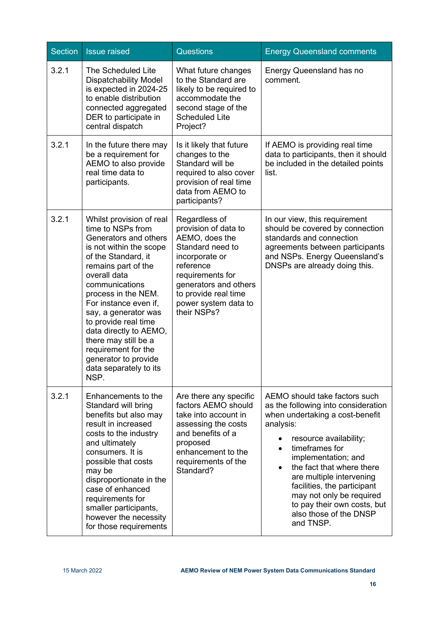| Section | <b>Issue raised</b>                                                                                                                                                                                                                                                                                                                                                                                                  | <b>Questions</b>                                                                                                                                                                                                       | <b>Energy Queensland comments</b>                                                                                                                                                                                                                                                                                                                                                              |
|---------|----------------------------------------------------------------------------------------------------------------------------------------------------------------------------------------------------------------------------------------------------------------------------------------------------------------------------------------------------------------------------------------------------------------------|------------------------------------------------------------------------------------------------------------------------------------------------------------------------------------------------------------------------|------------------------------------------------------------------------------------------------------------------------------------------------------------------------------------------------------------------------------------------------------------------------------------------------------------------------------------------------------------------------------------------------|
| 3.2.1   | <b>The Scheduled Lite</b><br><b>Dispatchability Model</b><br>is expected in 2024-25<br>to enable distribution<br>connected aggregated<br>DER to participate in<br>central dispatch                                                                                                                                                                                                                                   | What future changes<br>to the Standard are<br>likely to be required to<br>accommodate the<br>second stage of the<br><b>Scheduled Lite</b><br>Project?                                                                  | Energy Queensland has no<br>comment.                                                                                                                                                                                                                                                                                                                                                           |
| 3.2.1   | In the future there may<br>be a requirement for<br>AEMO to also provide<br>real time data to<br>participants.                                                                                                                                                                                                                                                                                                        | Is it likely that future<br>changes to the<br>Standard will be<br>required to also cover<br>provision of real time<br>data from AEMO to<br>participants?                                                               | If AEMO is providing real time<br>data to participants, then it should<br>be included in the detailed points<br>list.                                                                                                                                                                                                                                                                          |
| 3.2.1   | Whilst provision of real<br>time to NSPs from<br>Generators and others<br>is not within the scope<br>of the Standard, it<br>remains part of the<br>overall data<br>communications<br>process in the NEM.<br>For instance even if,<br>say, a generator was<br>to provide real time<br>data directly to AEMO,<br>there may still be a<br>requirement for the<br>generator to provide<br>data separately to its<br>NSP. | Regardless of<br>provision of data to<br>AEMO, does the<br>Standard need to<br>incorporate or<br>reference<br>requirements for<br>generators and others<br>to provide real time<br>power system data to<br>their NSPs? | In our view, this requirement<br>should be covered by connection<br>standards and connection<br>agreements between participants<br>and NSPs. Energy Queensland's<br>DNSPs are already doing this.                                                                                                                                                                                              |
| 3.2.1   | Enhancements to the<br>Standard will bring<br>benefits but also may<br>result in increased<br>costs to the industry<br>and ultimately<br>consumers. It is<br>possible that costs<br>may be<br>disproportionate in the<br>case of enhanced<br>requirements for<br>smaller participants,<br>however the necessity<br>for those requirements                                                                            | Are there any specific<br>factors AEMO should<br>take into account in<br>assessing the costs<br>and benefits of a<br>proposed<br>enhancement to the<br>requirements of the<br>Standard?                                | AEMO should take factors such<br>as the following into consideration<br>when undertaking a cost-benefit<br>analysis:<br>resource availability;<br>timeframes for<br>implementation; and<br>the fact that where there<br>$\bullet$<br>are multiple intervening<br>facilities, the participant<br>may not only be required<br>to pay their own costs, but<br>also those of the DNSP<br>and TNSP. |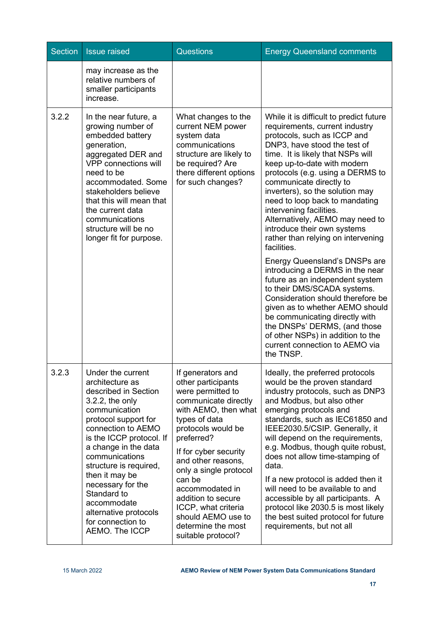| <b>Section</b> | <b>Issue</b> raised                                                                                                                                                                                                                                                                                                                                                                    | Questions                                                                                                                                                                                                                                                                                                                                                                              | <b>Energy Queensland comments</b>                                                                                                                                                                                                                                                                                                                                                                                                                                                                                                                                                                                                                                                                                                                                                                                                                                             |
|----------------|----------------------------------------------------------------------------------------------------------------------------------------------------------------------------------------------------------------------------------------------------------------------------------------------------------------------------------------------------------------------------------------|----------------------------------------------------------------------------------------------------------------------------------------------------------------------------------------------------------------------------------------------------------------------------------------------------------------------------------------------------------------------------------------|-------------------------------------------------------------------------------------------------------------------------------------------------------------------------------------------------------------------------------------------------------------------------------------------------------------------------------------------------------------------------------------------------------------------------------------------------------------------------------------------------------------------------------------------------------------------------------------------------------------------------------------------------------------------------------------------------------------------------------------------------------------------------------------------------------------------------------------------------------------------------------|
|                | may increase as the<br>relative numbers of<br>smaller participants<br>increase.                                                                                                                                                                                                                                                                                                        |                                                                                                                                                                                                                                                                                                                                                                                        |                                                                                                                                                                                                                                                                                                                                                                                                                                                                                                                                                                                                                                                                                                                                                                                                                                                                               |
| 3.2.2          | In the near future, a<br>growing number of<br>embedded battery<br>generation,<br>aggregated DER and<br><b>VPP connections will</b><br>need to be<br>accommodated. Some<br>stakeholders believe<br>that this will mean that<br>the current data<br>communications<br>structure will be no<br>longer fit for purpose.                                                                    | What changes to the<br>current NEM power<br>system data<br>communications<br>structure are likely to<br>be required? Are<br>there different options<br>for such changes?                                                                                                                                                                                                               | While it is difficult to predict future<br>requirements, current industry<br>protocols, such as ICCP and<br>DNP3, have stood the test of<br>time. It is likely that NSPs will<br>keep up-to-date with modern<br>protocols (e.g. using a DERMS to<br>communicate directly to<br>inverters), so the solution may<br>need to loop back to mandating<br>intervening facilities.<br>Alternatively, AEMO may need to<br>introduce their own systems<br>rather than relying on intervening<br>facilities.<br><b>Energy Queensland's DNSPs are</b><br>introducing a DERMS in the near<br>future as an independent system<br>to their DMS/SCADA systems.<br>Consideration should therefore be<br>given as to whether AEMO should<br>be communicating directly with<br>the DNSPs' DERMS, (and those<br>of other NSPs) in addition to the<br>current connection to AEMO via<br>the TNSP. |
| 3.2.3          | Under the current<br>architecture as<br>described in Section<br>$3.2.2$ , the only<br>communication<br>protocol support for<br>connection to AEMO<br>is the ICCP protocol. If<br>a change in the data<br>communications<br>structure is required,<br>then it may be<br>necessary for the<br>Standard to<br>accommodate<br>alternative protocols<br>for connection to<br>AEMO. The ICCP | If generators and<br>other participants<br>were permitted to<br>communicate directly<br>with AEMO, then what<br>types of data<br>protocols would be<br>preferred?<br>If for cyber security<br>and other reasons,<br>only a single protocol<br>can be<br>accommodated in<br>addition to secure<br>ICCP, what criteria<br>should AEMO use to<br>determine the most<br>suitable protocol? | Ideally, the preferred protocols<br>would be the proven standard<br>industry protocols, such as DNP3<br>and Modbus, but also other<br>emerging protocols and<br>standards, such as IEC61850 and<br>IEEE2030.5/CSIP. Generally, it<br>will depend on the requirements,<br>e.g. Modbus, though quite robust,<br>does not allow time-stamping of<br>data.<br>If a new protocol is added then it<br>will need to be available to and<br>accessible by all participants. A<br>protocol like 2030.5 is most likely<br>the best suited protocol for future<br>requirements, but not all                                                                                                                                                                                                                                                                                              |